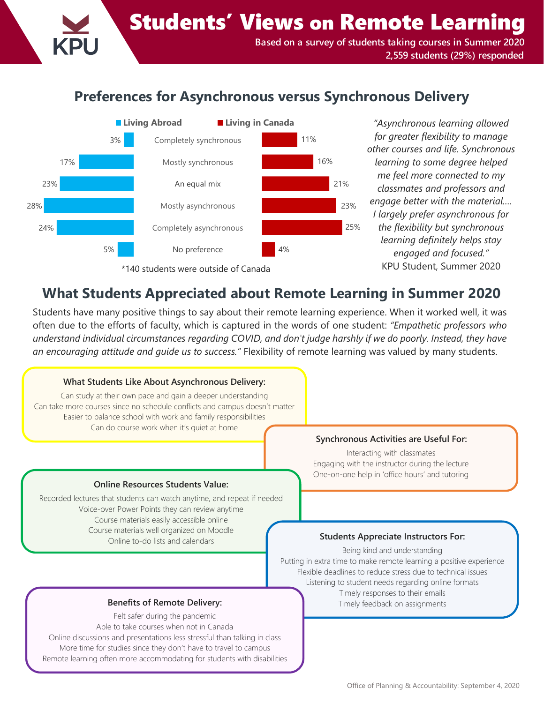Students' Views on Remote Learning **Based on a survey of students taking courses in Summer 2020 2,559 students (29%) responded**

# **Preferences for Asynchronous versus Synchronous Delivery**



*for greater flexibility to manage other courses and life. Synchronous learning to some degree helped me feel more connected to my classmates and professors and engage better with the material.… I largely prefer asynchronous for the flexibility but synchronous learning definitely helps stay engaged and focused."*  KPU Student, Summer 2020

# **What Students Appreciated about Remote Learning in Summer 2020**

Students have many positive things to say about their remote learning experience. When it worked well, it was often due to the efforts of faculty, which is captured in the words of one student: *"Empathetic professors who understand individual circumstances regarding COVID, and don't judge harshly if we do poorly. Instead, they have an encouraging attitude and guide us to success."* Flexibility of remote learning was valued by many students.

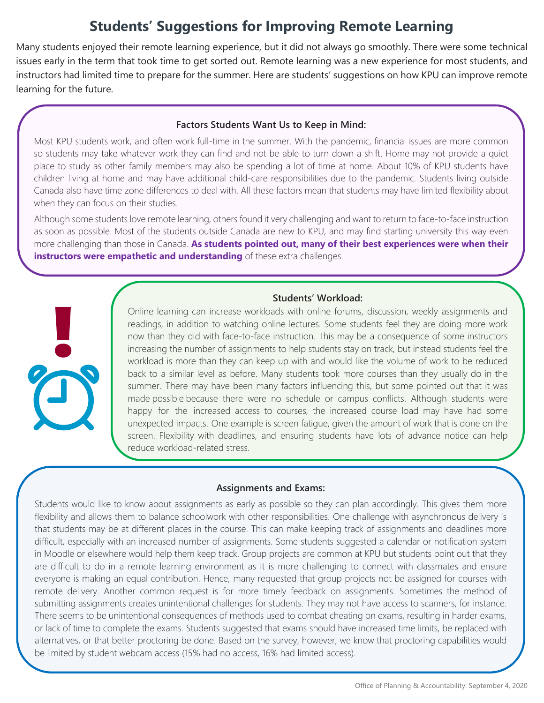# **Students' Suggestions for Improving Remote Learning**

Many students enjoyed their remote learning experience, but it did not always go smoothly. There were some technical issues early in the term that took time to get sorted out. Remote learning was a new experience for most students, and instructors had limited time to prepare for the summer. Here are students' suggestions on how KPU can improve remote learning for the future.

## **Factors Students Want Us to Keep in Mind:**

Most KPU students work, and often work full-time in the summer. With the pandemic, financial issues are more common so students may take whatever work they can find and not be able to turn down a shift. Home may not provide a quiet place to study as other family members may also be spending a lot of time at home. About 10% of KPU students have children living at home and may have additional child-care responsibilities due to the pandemic. Students living outside Canada also have time zone differences to deal with. All these factors mean that students may have limited flexibility about when they can focus on their studies.

Although some students love remote learning, others found it very challenging and want to return to face-to-face instruction as soon as possible. Most of the students outside Canada are new to KPU, and may find starting university this way even more challenging than those in Canada. **As students pointed out, many of their best experiences were when their instructors were empathetic and understanding** of these extra challenges.

### **Students' Workload:**

| I |  |
|---|--|

Online learning can increase workloads with online forums, discussion, weekly assignments and readings, in addition to watching online lectures. Some students feel they are doing more work now than they did with face-to-face instruction. This may be a consequence of some instructors increasing the number of assignments to help students stay on track, but instead students feel the workload is more than they can keep up with and would like the volume of work to be reduced back to a similar level as before. Many students took more courses than they usually do in the summer. There may have been many factors influencing this, but some pointed out that it was made possible because there were no schedule or campus conflicts. Although students were happy for the increased access to courses, the increased course load may have had some unexpected impacts. One example is screen fatigue, given the amount of work that is done on the screen. Flexibility with deadlines, and ensuring students have lots of advance notice can help reduce workload-related stress.

# **Assignments and Exams:**

Students would like to know about assignments as early as possible so they can plan accordingly. This gives them more flexibility and allows them to balance schoolwork with other responsibilities. One challenge with asynchronous delivery is that students may be at different places in the course. This can make keeping track of assignments and deadlines more difficult, especially with an increased number of assignments. Some students suggested a calendar or notification system in Moodle or elsewhere would help them keep track. Group projects are common at KPU but students point out that they are difficult to do in a remote learning environment as it is more challenging to connect with classmates and ensure everyone is making an equal contribution. Hence, many requested that group projects not be assigned for courses with remote delivery. Another common request is for more timely feedback on assignments. Sometimes the method of submitting assignments creates unintentional challenges for students. They may not have access to scanners, for instance. There seems to be unintentional consequences of methods used to combat cheating on exams, resulting in harder exams, or lack of time to complete the exams. Students suggested that exams should have increased time limits, be replaced with alternatives, or that better proctoring be done. Based on the survey, however, we know that proctoring capabilities would be limited by student webcam access (15% had no access, 16% had limited access).